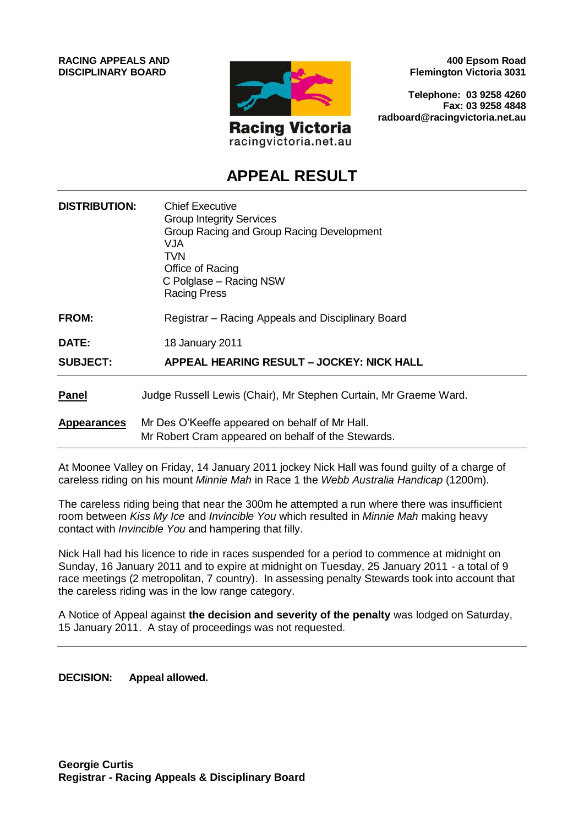**RACING APPEALS AND DISCIPLINARY BOARD**



racingvictoria.net.au

**400 Epsom Road Flemington Victoria 3031**

**Telephone: 03 9258 4260 Fax: 03 9258 4848 radboard@racingvictoria.net.au**

## **APPEAL RESULT**

| <b>DISTRIBUTION:</b> | <b>Chief Executive</b><br><b>Group Integrity Services</b><br>Group Racing and Group Racing Development<br>VJA.<br>TVN.<br>Office of Racing<br>C Polglase - Racing NSW<br><b>Racing Press</b> |
|----------------------|----------------------------------------------------------------------------------------------------------------------------------------------------------------------------------------------|
| <b>FROM:</b>         | Registrar – Racing Appeals and Disciplinary Board                                                                                                                                            |
| DATE:                | 18 January 2011                                                                                                                                                                              |
| <b>SUBJECT:</b>      | APPEAL HEARING RESULT - JOCKEY: NICK HALL                                                                                                                                                    |
| <b>Panel</b>         | Judge Russell Lewis (Chair), Mr Stephen Curtain, Mr Graeme Ward.                                                                                                                             |
| <b>Appearances</b>   | Mr Des O'Keeffe appeared on behalf of Mr Hall.<br>Mr Robert Cram appeared on behalf of the Stewards.                                                                                         |

At Moonee Valley on Friday, 14 January 2011 jockey Nick Hall was found guilty of a charge of careless riding on his mount *Minnie Mah* in Race 1 the *Webb Australia Handicap* (1200m).

The careless riding being that near the 300m he attempted a run where there was insufficient room between *Kiss My Ice* and *Invincible You* which resulted in *Minnie Mah* making heavy contact with *Invincible You* and hampering that filly.

Nick Hall had his licence to ride in races suspended for a period to commence at midnight on Sunday, 16 January 2011 and to expire at midnight on Tuesday, 25 January 2011 - a total of 9 race meetings (2 metropolitan, 7 country). In assessing penalty Stewards took into account that the careless riding was in the low range category.

A Notice of Appeal against **the decision and severity of the penalty** was lodged on Saturday, 15 January 2011. A stay of proceedings was not requested.

**DECISION: Appeal allowed.**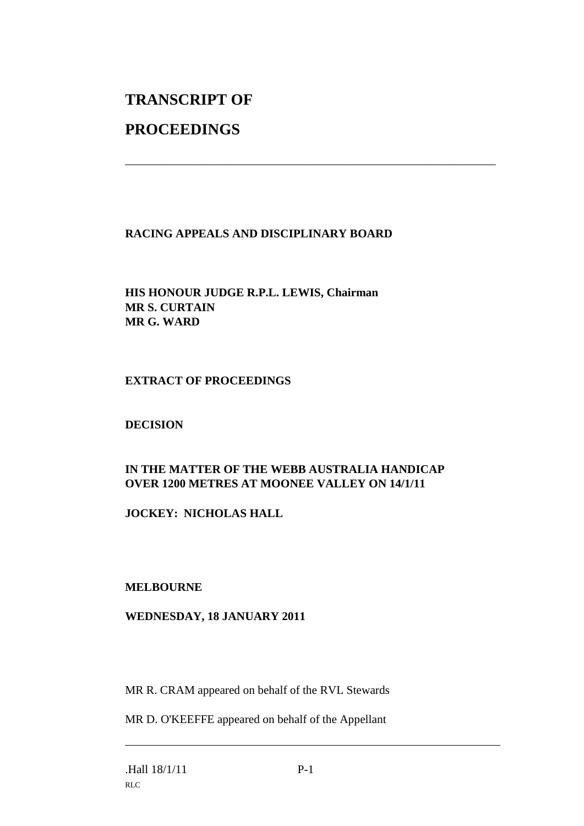# **TRANSCRIPT OF**

### **PROCEEDINGS**

#### **RACING APPEALS AND DISCIPLINARY BOARD**

\_\_\_\_\_\_\_\_\_\_\_\_\_\_\_\_\_\_\_\_\_\_\_\_\_\_\_\_\_\_\_\_\_\_\_\_\_\_\_\_\_\_\_\_\_\_\_\_\_\_\_\_\_\_\_\_\_\_\_\_\_\_\_

#### **HIS HONOUR JUDGE R.P.L. LEWIS, Chairman MR S. CURTAIN MR G. WARD**

#### **EXTRACT OF PROCEEDINGS**

#### **DECISION**

#### **IN THE MATTER OF THE WEBB AUSTRALIA HANDICAP OVER 1200 METRES AT MOONEE VALLEY ON 14/1/11**

**JOCKEY: NICHOLAS HALL**

#### **MELBOURNE**

#### **WEDNESDAY, 18 JANUARY 2011**

MR R. CRAM appeared on behalf of the RVL Stewards

MR D. O'KEEFFE appeared on behalf of the Appellant